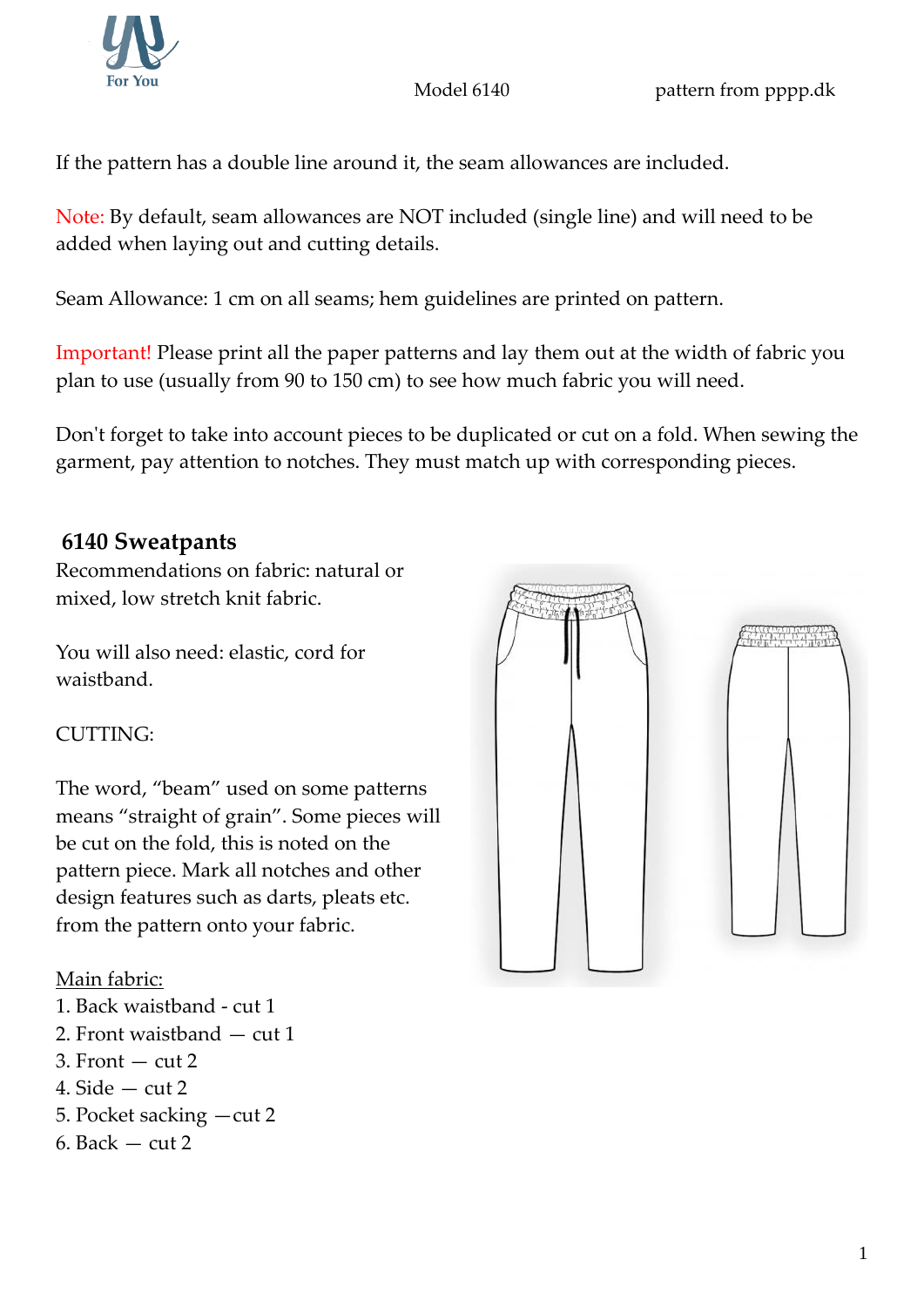Model 6140 **pattern from pppp.dk** 

If the pattern has a double line around it, the seam allowances are included.

Note: By default, seam allowances are NOT included (single line) and will need to be added when laying out and cutting details.

Seam Allowance: 1 cm on all seams; hem guidelines are printed on pattern.

Important! Please print all the paper patterns and lay them out at the width of fabric you plan to use (usually from 90 to 150 cm) to see how much fabric you will need.

Don't forget to take into account pieces to be duplicated or cut on a fold. When sewing the garment, pay attention to notches. They must match up with corresponding pieces.

# **6140 Sweatpants**

Recommendations on fabric: natural or mixed, low stretch knit fabric.

You will also need: elastic, cord for waistband.

## CUTTING:

The word, "beam" used on some patterns means "straight of grain". Some pieces will be cut on the fold, this is noted on the pattern piece. Mark all notches and other design features such as darts, pleats etc. from the pattern onto your fabric.

## Main fabric:

- 1. Back waistband cut 1
- 2. Front waistband cut 1
- $3.$  Front  $-$  cut  $2$
- 4. Side  $-$  cut 2
- 5. Pocket sacking —cut 2
- 6. Back  $-$  cut 2